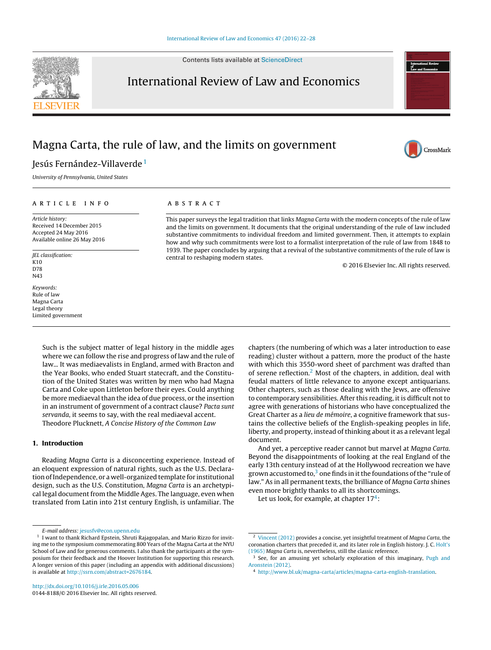Contents lists available at [ScienceDirect](http://www.sciencedirect.com/science/journal/01448188)



# International Review of Law and Economics

# Magna Carta, the rule of law, and the limits on government



# Jesús Fernández-Villaverde<sup>1</sup>

University of Pennsylvania, United States

# a r t i c l e i n f o

Article history: Received 14 December 2015 Accepted 24 May 2016 Available online 26 May 2016

JEL classification: K<sub>10</sub> D78 N43

Keywords: Rule of law Magna Carta Legal theory Limited government

# A B S T R A C T

This paper surveys the legal tradition that links Magna Carta with the modern concepts of the rule of law and the limits on government. It documents that the original understanding of the rule of law included substantive commitments to individual freedom and limited government. Then, it attempts to explain how and why such commitments were lost to a formalist interpretation of the rule of law from 1848 to 1939. The paper concludes by arguing that a revival of the substantive commitments of the rule of law is central to reshaping modern states.

© 2016 Elsevier Inc. All rights reserved.

Such is the subject matter of legal history in the middle ages where we can follow the rise and progress of law and the rule of law... It was mediaevalists in England, armed with Bracton and the Year Books, who ended Stuart statecraft, and the Constitution of the United States was written by men who had Magna Carta and Coke upon Littleton before their eyes. Could anything be more mediaeval than the idea of due process, or the insertion in an instrument of government of a contract clause? Pacta sunt servanda, it seems to say, with the real mediaeval accent. Theodore Plucknett, A Concise History of the Common Law

# **1. Introduction**

Reading Magna Carta is a disconcerting experience. Instead of an eloquent expression of natural rights, such as the U.S. Declaration of Independence, or a well-organized template for institutional design, such as the U.S. Constitution, Magna Carta is an archetypical legal document from the Middle Ages. The language, even when translated from Latin into 21st century English, is unfamiliar. The

E-mail address: [jesusfv@econ.upenn.edu](mailto:jesusfv@econ.upenn.edu)

agree with generations of historians who have conceptualized the Great Charter as a lieu de mémoire, a cognitive framework that sustains the collective beliefs of the English-speaking peoples in life, liberty, and property, instead of thinking about it as a relevant legal document. And yet, a perceptive reader cannot but marvel at Magna Carta. Beyond the disappointments of looking at the real England of the early 13th century instead of at the Hollywood recreation we have grown accustomed to, $3$  one finds in it the foundations of the "rule of law." As in all permanent texts, the brilliance of Magna Carta shines even more brightly thanks to all its shortcomings.

Let us look, for example, at chapter  $17<sup>4</sup>$ :

chapters (the numbering of which was a later introduction to ease reading) cluster without a pattern, more the product of the haste with which this 3550-word sheet of parchment was drafted than of serene reflection.<sup>2</sup> Most of the chapters, in addition, deal with feudal matters of little relevance to anyone except antiquarians. Other chapters, such as those dealing with the Jews, are offensive to contemporary sensibilities. After this reading, it is difficult not to

 $^{\rm 1}$  I want to thank Richard Epstein, Shruti Rajagopalan, and Mario Rizzo for inviting me to the symposium commemorating 800 Years of the Magna Carta at the NYU School of Law and for generous comments. I also thank the participants at the symposium for their feedback and the Hoover Institution for supporting this research. A longer version of this paper (including an appendix with additional discussions) is available at [http://ssrn.com/abstract=2676184.](http://ssrn.com/abstract=2676184)

<sup>&</sup>lt;sup>2</sup> [Vincent](#page-6-0) [\(2012\)](#page-6-0) provides a concise, yet insightful treatment of Magna Carta, the coronation charters that preceded it, and its later role in English history. J. C. [Holt's](#page-6-0) [\(1965\)](#page-6-0) Magna Carta is, nevertheless, still the classic reference.

<sup>&</sup>lt;sup>3</sup> See, for an amusing yet scholarly exploration of this imaginary, [Pugh](#page-6-0) [and](#page-6-0) [Aronstein](#page-6-0) [\(2012\).](#page-6-0)

<sup>4</sup> <http://www.bl.uk/magna-carta/articles/magna-carta-english-translation>.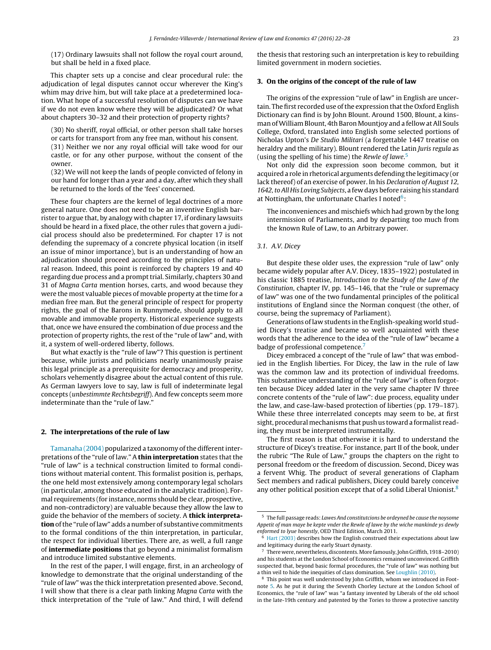(17) Ordinary lawsuits shall not follow the royal court around, but shall be held in a fixed place.

This chapter sets up a concise and clear procedural rule: the adjudication of legal disputes cannot occur wherever the King's whim may drive him, but will take place at a predetermined location. What hope of a successful resolution of disputes can we have if we do not even know where they will be adjudicated? Or what about chapters 30–32 and their protection of property rights?

(30) No sheriff, royal official, or other person shall take horses or carts for transport from any free man, without his consent. (31) Neither we nor any royal official will take wood for our castle, or for any other purpose, without the consent of the owner.

(32) We will not keep the lands of people convicted of felony in our hand for longer than a year and a day, after which they shall be returned to the lords of the 'fees' concerned.

These four chapters are the kernel of legal doctrines of a more general nature. One does not need to be an inventive English barrister to argue that, by analogy with chapter 17, if ordinary lawsuits should be heard in a fixed place, the other rules that govern a judicial process should also be predetermined. For chapter 17 is not defending the supremacy of a concrete physical location (in itself an issue of minor importance), but is an understanding of how an adjudication should proceed according to the principles of natural reason. Indeed, this point is reinforced by chapters 19 and 40 regarding due process and a prompt trial. Similarly, chapters 30 and 31 of Magna Carta mention horses, carts, and wood because they were the most valuable pieces of movable property at the time for a median free man. But the general principle of respect for property rights, the goal of the Barons in Runnymede, should apply to all movable and immovable property. Historical experience suggests that, once we have ensured the combination of due process and the protection of property rights, the rest of the "rule of law" and, with it, a system of well-ordered liberty, follows.

But what exactly is the "rule of law"? This question is pertinent because, while jurists and politicians nearly unanimously praise this legal principle as a prerequisite for democracy and prosperity, scholars vehemently disagree about the actual content of this rule. As German lawyers love to say, law is full of indeterminate legal concepts (unbestimmte Rechtsbegriff). And few concepts seem more indeterminate than the "rule of law."

#### **2. The interpretations of the rule of law**

[Tamanaha](#page-6-0) [\(2004\)](#page-6-0) popularized a taxonomy of the different interpretations of the "rule of law." A **thin interpretation** states that the "rule of law" is a technical construction limited to formal conditions without material content. This formalist position is, perhaps, the one held most extensively among contemporary legal scholars (in particular, among those educated in the analytic tradition). Formal requirements (for instance, norms should be clear, prospective, and non-contradictory) are valuable because they allow the law to guide the behavior of the members of society. A **thick interpretation**ofthe "rule oflaw" adds a number of substantive commitments to the formal conditions of the thin interpretation, in particular, the respect for individual liberties. There are, as well, a full range of **intermediate positions** that go beyond a minimalist formalism and introduce limited substantive elements.

In the rest of the paper, I will engage, first, in an archeology of knowledge to demonstrate that the original understanding of the "rule of law" was the thick interpretation presented above. Second, I will show that there is a clear path linking Magna Carta with the thick interpretation of the "rule of law." And third, I will defend

the thesis that restoring such an interpretation is key to rebuilding limited government in modern societies.

# **3. On the origins of the concept of the rule of law**

The origins of the expression "rule of law" in English are uncertain. The first recorded use of the expression that the Oxford English Dictionary can find is by John Blount. Around 1500, Blount, a kinsman of William Blount, 4th Baron Mountjoy and a fellow at All Souls College, Oxford, translated into English some selected portions of Nicholas Upton's De Studio Militari (a forgettable 1447 treatise on heraldry and the military). Blount rendered the Latin Juris regula as (using the spelling of his time) the Rewle of lawe.<sup>5</sup>

Not only did the expression soon become common, but it acquired a role in rhetorical arguments defending the legitimacy (or lack thereof) of an exercise of power. In his Declaration of August 12, 1642, to All His Loving Subjects, a few days before raising his standard at Nottingham, the unfortunate Charles I noted $6$ :

The inconveniences and mischiefs which had grown by the long intermission of Parliaments, and by departing too much from the known Rule of Law, to an Arbitrary power.

# 3.1. A.V. Dicey

But despite these older uses, the expression "rule of law" only became widely popular after A.V. Dicey, 1835–1922) postulated in his classic 1885 treatise, Introduction to the Study of the Law of the Constitution, chapter IV, pp. 145–146, that the "rule or supremacy of law" was one of the two fundamental principles of the political institutions of England since the Norman conquest (the other, of course, being the supremacy of Parliament).

Generations of law students in the English-speaking world studied Dicey's treatise and became so well acquainted with these words that the adherence to the idea of the "rule of law" became a badge of professional competence.<sup>7</sup>

Dicey embraced a concept of the "rule of law" that was embodied in the English liberties. For Dicey, the law in the rule of law was the common law and its protection of individual freedoms. This substantive understanding of the "rule of law" is often forgotten because Dicey added later in the very same chapter IV three concrete contents of the "rule of law": due process, equality under the law, and case-law-based protection of liberties (pp. 179–187). While these three interrelated concepts may seem to be, at first sight, procedural mechanisms that push us toward a formalist reading, they must be interpreted instrumentally.

The first reason is that otherwise it is hard to understand the structure of Dicey's treatise. For instance, part II of the book, under the rubric "The Rule of Law," groups the chapters on the right to personal freedom or the freedom of discussion. Second, Dicey was a fervent Whig. The product of several generations of Clapham Sect members and radical publishers, Dicey could barely conceive any other political position except that of a solid Liberal Unionist.<sup>8</sup>

<sup>5</sup> The full passage reads: Lawes And constitutcions be ordeyned be cause the noysome Appetit of man maye be kepte vnder the Rewle of lawe by the wiche mankinde ys dewly enformed to lyue honestly, OED Third Edition, March 2011.

<sup>6</sup> [Hart](#page-6-0) [\(2003\)](#page-6-0) describes how the English construed their expectations about law and legitimacy during the early Stuart dynasty.

There were, nevertheless, discontents. More famously, John Griffith, 1918-2010) and his students at the London School of Economics remained unconvinced. Griffith suspected that, beyond basic formal procedures, the "rule of law" was nothing but a thin veil to hide the inequities of class domination. See [Loughlin](#page-6-0) [\(2010\).](#page-6-0)

This point was well understood by John Griffith, whom we introduced in Footnote 5. As he put it during the Seventh Chorley Lecture at the London School of Economics, the "rule of law" was "a fantasy invented by Liberals of the old school in the late-19th century and patented by the Tories to throw a protective sanctity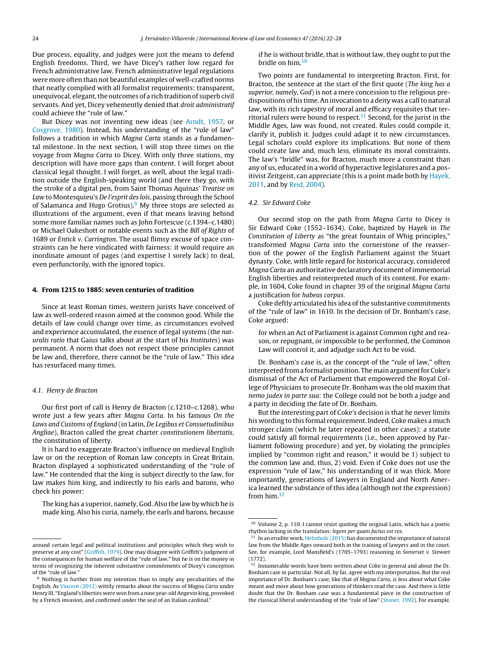<span id="page-2-0"></span>Due process, equality, and judges were just the means to defend English freedoms. Third, we have Dicey's rather low regard for French administrative law. French administrative legal regulations were more often than not beautiful examples of well-crafted norms that neatly complied with all formalist requirements: transparent, unequivocal, elegant, the outcomes of a rich tradition of superb civil servants. And yet, Dicey vehemently denied that droit administratif could achieve the "rule of law."

But Dicey was not inventing new ideas (see [Arndt,](#page-6-0) [1957,](#page-6-0) or [Cosgrove,](#page-6-0) [1980\).](#page-6-0) Instead, his understanding of the "rule of law" follows a tradition in which Magna Carta stands as a fundamental milestone. In the next section, I will stop three times on the voyage from Magna Carta to Dicey. With only three stations, my description will have more gaps than content. I will forget about classical legal thought. I will forget, as well, about the legal tradition outside the English-speaking world (and there they go, with the stroke of a digital pen, from Saint Thomas Aquinas' Treatise on Law to Montesquieu's De l'esprit des lois, passing through the School of Salamanca and Hugo Grotius). $9$  My three stops are selected as illustrations of the argument, even if that means leaving behind some more familiar names such as John Fortescue (c.1394–c.1480) or Michael Oakeshott or notable events such as the Bill of Rights of 1689 or Entick v. Carrington. The usual flimsy excuse of space constraints can be here vindicated with fairness: it would require an inordinate amount of pages (and expertise I sorely lack) to deal, even perfunctorily, with the ignored topics.

# **4. From 1215 to 1885: seven centuries of tradition**

Since at least Roman times, western jurists have conceived of law as well-ordered reason aimed at the common good. While the details of law could change over time, as circumstances evolved and experience accumulated, the essence of legal systems (the naturalis ratio that Gaius talks about at the start of his Institutes) was permanent. A norm that does not respect those principles cannot be law and, therefore, there cannot be the "rule of law." This idea has resurfaced many times.

#### 4.1. Henry de Bracton

Our first port of call is Henry de Bracton (c.1210–c.1268), who wrote just a few years after Magna Carta. In his famous On the Laws and Customs of England (in Latin, De Legibus et Consuetudinibus Angliae), Bracton called the great charter constitutionem libertatis, the constitution of liberty.

It is hard to exaggerate Bracton's influence on medieval English law or on the reception of Roman law concepts in Great Britain. Bracton displayed a sophisticated understanding of the "rule of law." He contended that the king is subject directly to the law, for law makes him king, and indirectly to his earls and barons, who check his power:

The king has a superior, namely, God. Also the law by which he is made king. Also his curia, namely, the earls and barons, because

if he is without bridle, that is without law, they ought to put the bridle on him.10

Two points are fundamental to interpreting Bracton. First, for Bracton, the sentence at the start of the first quote (The king has a superior, namely, God) is not a mere concession to the religious predispositions of his time. An invocation to a deity was a call to natural law, with its rich tapestry of moral and efficacy requisites that territorial rulers were bound to respect.<sup>11</sup> Second, for the jurist in the Middle Ages, law was found, not created. Rules could compile it, clarify it, publish it. Judges could adapt it to new circumstances. Legal scholars could explore its implications. But none of them could create law and, much less, eliminate its moral constraints. The law's "bridle" was, for Bracton, much more a constraint than any of us, educated in a world of hyperactive legislatures and a positivist Zeitgeist, can appreciate (this is a point made both by [Hayek,](#page-6-0) [2011,](#page-6-0) and by [Reid,](#page-6-0) [2004\).](#page-6-0)

#### 4.2. Sir Edward Coke

Our second stop on the path from Magna Carta to Dicey is Sir Edward Coke (1552–1634). Coke, baptized by Hayek in The Constitution of Liberty as "the great fountain of Whig principles," transformed Magna Carta into the cornerstone of the reassertion of the power of the English Parliament against the Stuart dynasty. Coke, with little regard for historical accuracy, considered Magna Carta an authoritative declaratory document of immemorial English liberties and reinterpreted much of its content. For example, in 1604, Coke found in chapter 39 of the original Magna Carta a justification for habeas corpus.

Coke deftly articulated his idea of the substantive commitments of the "rule of law" in 1610. In the decision of Dr. Bonham's case, Coke argued:

for when an Act of Parliament is against Common right and reason, or repugnant, or impossible to be performed, the Common Law will control it, and adjudge such Act to be void.

Dr. Bonham's case is, as the concept of the "rule of law," often interpreted from a formalist position. The main argument for Coke's dismissal of the Act of Parliament that empowered the Royal College of Physicians to prosecute Dr. Bonham was the old maxim that nemo judex in parte sua: the College could not be both a judge and a party in deciding the fate of Dr. Bonham.

But the interesting part of Coke's decision is that he never limits his wording to this formal requirement. Indeed, Coke makes a much stronger claim (which he later repeated in other cases): a statute could satisfy all formal requirements (i.e., been approved by Parliament following procedure) and yet, by violating the principles implied by "common right and reason," it would be 1) subject to the common law and, thus, 2) void. Even if Coke does not use the expression "rule of law," his understanding of it was thick. More importantly, generations of lawyers in England and North America learned the substance of this idea (although not the expression) from him.12

around certain legal and political institutions and principles which they wish to preserve at any cost" ([Griffith,](#page-6-0) [1979\).](#page-6-0) One may disagree with Griffith's judgment of the consequences for human welfare of the "rule of law," but he is on the money in terms of recognizing the inherent substantive commitments of Dicey's conception of the "rule of law."

<sup>&</sup>lt;sup>9</sup> Nothing is further from my intention than to imply any peculiarities of the English. As [Vincent](#page-6-0) [\(2012\)](#page-6-0) wittily remarks about the success of Magna Carta under Henry III, "England's liberties were won from a nine year-oldAngevin king, provoked by a French invasion, and confirmed under the seal of an Italian cardinal."

<sup>10</sup> Volume 2, p. 110. I cannot resist quoting the original Latin, which has a poetic rhythm lacking in the translation: legem per quam factus est rex.

<sup>&</sup>lt;sup>11</sup> In an erudite work, [Helmholz](#page-6-0) [\(2015\)](#page-6-0) has documented the importance of natural law from the Middle Ages onward both in the training of lawyers and in the court. See, for example, Lord Mansfield's (1705–1793) reasoning in Somerset v. Stewart (1772).

 $\frac{12}{12}$  Innumerable words have been written about Coke in general and about the Dr. Bonham case in particular. Not all, by far, agree with my interpretation. But the real importance of Dr. Bonham's case, like that of Magna Carta, is less about what Coke meant and more about how generations of thinkers read the case. And there is little doubt that the Dr. Bonham case was a fundamental piece in the construction of the classical liberal understanding of the "rule of law" [\(Stoner,](#page-6-0) [1992\).](#page-6-0) For example,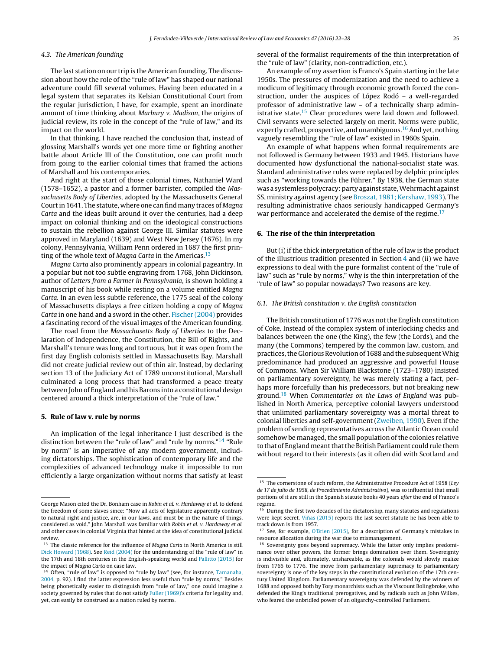#### 4.3. The American founding

The last station on our trip is the American founding. The discussion about how the role of the "rule of law" has shaped our national adventure could fill several volumes. Having been educated in a legal system that separates its Kelsian Constitutional Court from the regular jurisdiction, I have, for example, spent an inordinate amount of time thinking about Marbury v. Madison, the origins of judicial review, its role in the concept of the "rule of law," and its impact on the world.

In that thinking, I have reached the conclusion that, instead of glossing Marshall's words yet one more time or fighting another battle about Article III of the Constitution, one can profit much from going to the earlier colonial times that framed the actions of Marshall and his contemporaries.

And right at the start of those colonial times, Nathaniel Ward (1578–1652), a pastor and a former barrister, compiled the Massachusetts Body of Liberties, adopted by the Massachusetts General Court in 1641. The statute, where one can find many traces of Magna Carta and the ideas built around it over the centuries, had a deep impact on colonial thinking and on the ideological constructions to sustain the rebellion against George III. Similar statutes were approved in Maryland (1639) and West New Jersey (1676). In my colony, Pennsylvania, William Penn ordered in 1687 the first printing of the whole text of Magna Carta in the Americas.<sup>13</sup>

Magna Carta also prominently appears in colonial pageantry. In a popular but not too subtle engraving from 1768, John Dickinson, author of Letters from a Farmer in Pennsylvania, is shown holding a manuscript of his book while resting on a volume entitled Magna Carta. In an even less subtle reference, the 1775 seal of the colony of Massachusetts displays a free citizen holding a copy of Magna Carta in one hand and a sword in the other. [Fischer](#page-6-0) [\(2004\)](#page-6-0) provides a fascinating record of the visual images of the American founding.

The road from the Massachusetts Body of Liberties to the Declaration of Independence, the Constitution, the Bill of Rights, and Marshall's tenure was long and tortuous, but it was open from the first day English colonists settled in Massachusetts Bay. Marshall did not create judicial review out of thin air. Instead, by declaring section 13 of the Judiciary Act of 1789 unconstitutional, Marshall culminated a long process that had transformed a peace treaty between John of England and his Barons into a constitutional design centered around a thick interpretation of the "rule of law."

#### **5. Rule of law v. rule by norms**

An implication of the legal inheritance I just described is the distinction between the "rule of law" and "rule by norms."14 "Rule by norm" is an imperative of any modern government, including dictatorships. The sophistication of contemporary life and the complexities of advanced technology make it impossible to run efficiently a large organization without norms that satisfy at least several of the formalist requirements of the thin interpretation of the "rule of law" (clarity, non-contradiction, etc.).

An example of my assertion is Franco's Spain starting in the late 1950s. The pressures of modernization and the need to achieve a modicum of legitimacy through economic growth forced the construction, under the auspices of López Rodó – a well-regarded professor of administrative law – of a technically sharp administrative state.15 Clear procedures were laid down and followed. Civil servants were selected largely on merit. Norms were public, expertly crafted, prospective, and unambiguous.16 And yet, nothing vaguely resembling the "rule of law" existed in 1960s Spain.

An example of what happens when formal requirements are not followed is Germany between 1933 and 1945. Historians have documented how dysfunctional the national-socialist state was. Standard administrative rules were replaced by delphic principles such as "working towards the Führer." By 1938, the German state was a systemless polycracy: party against state,Wehrmacht against SS, ministry against agency (see [Broszat,](#page-6-0) [1981;](#page-6-0) [Kershaw,](#page-6-0) [1993\).](#page-6-0) The resulting administrative chaos seriously handicapped Germany's war performance and accelerated the demise of the regime.<sup>17</sup>

#### **6. The rise of the thin interpretation**

But (i) if the thick interpretation of the rule of law is the product of the illustrious tradition presented in Section  $4$  and (ii) we have expressions to deal with the pure formalist content of the "rule of law" such as "rule by norms," why is the thin interpretation of the "rule of law" so popular nowadays? Two reasons are key.

#### 6.1. The British constitution v. the English constitution

The British constitution of 1776 was not the English constitution of Coke. Instead of the complex system of interlocking checks and balances between the one (the King), the few (the Lords), and the many (the Commons) tempered by the common law, custom, and practices, the Glorious Revolution of 1688 and the subsequent Whig predominance had produced an aggressive and powerful House of Commons. When Sir William Blackstone (1723–1780) insisted on parliamentary sovereignty, he was merely stating a fact, perhaps more forcefully than his predecessors, but not breaking new ground.18 When Commentaries on the Laws of England was published in North America, perceptive colonial lawyers understood that unlimited parliamentary sovereignty was a mortal threat to colonial liberties and self-government [\(Zweiben,](#page-6-0) [1990\).](#page-6-0) Even if the problem of sending representatives across the Atlantic Ocean could somehow be managed, the small population of the colonies relative to that of England meant that the British Parliament could rule them without regard to their interests (as it often did with Scotland and

George Mason cited the Dr. Bonham case in Robin et al. v. Hardaway et al. to defend the freedom of some slaves since: "Now all acts of legislature apparently contrary to natural right and justice, are, in our laws, and must be in the nature of things, considered as void." John Marshall was familiar with Robin et al. v. Hardaway et al. and other cases in colonial Virginia that hinted at the idea of constitutional judicial review.

<sup>&</sup>lt;sup>13</sup> The classic reference for the influence of Magna Carta in North America is still [Dick](#page-6-0) [Howard](#page-6-0) [\(1968\).](#page-6-0) See [Reid](#page-6-0) [\(2004\)](#page-6-0) for the understanding of the "rule of law" in the 17th and 18th centuries in the English-speaking world and [Pallitto](#page-6-0) [\(2015\)](#page-6-0) for the impact of Magna Carta on case law.

<sup>&</sup>lt;sup>14</sup> Often, "rule of law" is opposed to "rule by law" (see, for instance, [Tamanaha,](#page-6-0) [2004,](#page-6-0) p. 92). I find the latter expression less useful than "rule by norms," Besides being phonetically easier to distinguish from "rule of law," one could imagine a society governed by rules that do not satisfy [Fuller](#page-6-0) [\(1969\)'s](#page-6-0) criteria for legality and, yet, can easily be construed as a nation ruled by norms.

 $^{15}\,$  The cornerstone of such reform, the Administrative Procedure Act of 1958 (Ley de 17 de julio de 1958, de Procedimiento Administrativo), was so influential that small portions of it are still in the Spanish statute books 40 years after the end of Franco's regime.

During the first two decades of the dictatorship, many statutes and regulations were kept secret. Viñas [\(2015\)](#page-6-0) reports the last secret statute he has been able to track down is from 1957.

 $17$  See, for example, [O'Brien](#page-6-0) [\(2015\),](#page-6-0) for a description of Germany's mistakes in resource allocation during the war due to mismanagement.

Sovereignty goes beyond supremacy. While the latter only implies predominance over other powers, the former brings domination over them. Sovereignty is indivisible and, ultimately, unshareable, as the colonials would slowly realize from 1765 to 1776. The move from parliamentary supremacy to parliamentary sovereignty is one of the key steps in the constitutional evolution of the 17th century United Kingdom. Parliamentary sovereignty was defended by the winners of 1688 and opposed both by Tory monarchists such as the Viscount Bolingbroke, who defended the King's traditional prerogatives, and by radicals such as John Wilkes, who feared the unbridled power of an oligarchy-controlled Parliament.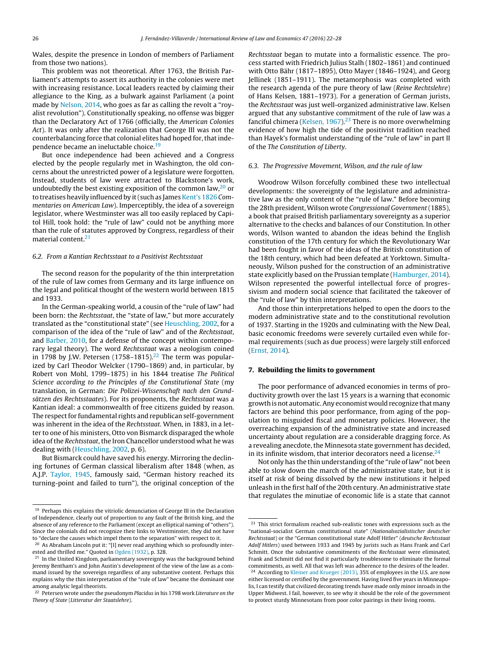Wales, despite the presence in London of members of Parliament from those two nations).

This problem was not theoretical. After 1763, the British Parliament's attempts to assert its authority in the colonies were met with increasing resistance. Local leaders reacted by claiming their allegiance to the King, as a bulwark against Parliament (a point made by [Nelson,](#page-6-0) [2014,](#page-6-0) who goes as far as calling the revolt a "royalist revolution"). Constitutionally speaking, no offense was bigger than the Declaratory Act of 1766 (officially, the American Colonies Act). It was only after the realization that George III was not the counterbalancing force that colonial elites had hoped for, that independence became an ineluctable choice.19

But once independence had been achieved and a Congress elected by the people regularly met in Washington, the old concerns about the unrestricted power of a legislature were forgotten. Instead, students of law were attracted to Blackstone's work, undoubtedly the best existing exposition of the common law, $^{20}$  or to treatises heavily influenced by it (such as James [Kent's](#page-6-0) [1826](#page-6-0) Commentaries on American Law). Imperceptibly, the idea of a sovereign legislator, where Westminster was all too easily replaced by Capitol Hill, took hold: the "rule of law" could not be anything more than the rule of statutes approved by Congress, regardless of their material content.21

#### 6.2. From a Kantian Rechtsstaat to a Positivist Rechtsstaat

The second reason for the popularity of the thin interpretation of the rule of law comes from Germany and its large influence on the legal and political thought of the western world between 1815 and 1933.

In the German-speaking world, a cousin of the "rule of law" had been born: the Rechtsstaat, the "state of law," but more accurately translated as the "constitutional state" (see [Heuschling,](#page-6-0) [2002,](#page-6-0) for a comparison of the idea of the "rule of law" and of the Rechtsstaat, and [Barber,](#page-6-0) [2010,](#page-6-0) for a defense of the concept within contemporary legal theory). The word Rechtsstaat was a neologism coined in 1798 by J.W. Petersen  $(1758-1815).^{22}$  The term was popularized by Carl Theodor Welcker (1790–1869) and, in particular, by Robert von Mohl, 1799–1875) in his 1844 treatise The Political Science according to the Principles of the Constitutional State (my translation, in German: Die Polizei-Wissenschaft nach den Grundsätzen des Rechtsstaates). For its proponents, the Rechtsstaat was a Kantian ideal: a commonwealth of free citizens guided by reason. The respect for fundamental rights and republican self-government was inherent in the idea of the Rechtsstaat. When, in 1883, in a letter to one of his ministers, Otto von Bismarck disparaged the whole idea of the Rechtsstaat, the Iron Chancellor understood what he was dealing with ([Heuschling,](#page-6-0) [2002,](#page-6-0) p. 6).

But Bismarck could have saved his energy. Mirroring the declining fortunes of German classical liberalism after 1848 (when, as A.J.P. [Taylor,](#page-6-0) [1945,](#page-6-0) famously said, "German history reached its turning-point and failed to turn"), the original conception of the

Rechtsstaat began to mutate into a formalistic essence. The process started with Friedrich Julius Stalh (1802–1861) and continued with Otto Bähr (1817–1895), Otto Mayer (1846–1924), and Georg Jellinek (1851–1911). The metamorphosis was completed with the research agenda of the pure theory of law (Reine Rechtslehre) of Hans Kelsen, 1881–1973). For a generation of German jurists, the Rechtsstaat was just well-organized administrative law. Kelsen argued that any substantive commitment of the rule of law was a fanciful chimera [\(Kelsen,](#page-6-0) 1967).<sup>23</sup> There is no more overwhelming evidence of how high the tide of the positivist tradition reached than Hayek's formalist understanding of the "rule of law" in part II of the The Constitution of Liberty.

#### 6.3. The Progressive Movement, Wilson, and the rule of law

Woodrow Wilson forcefully combined these two intellectual developments: the sovereignty of the legislature and administrative law as the only content of the "rule of law." Before becoming the 28th president, Wilson wrote Congressional Government(1885), a book that praised British parliamentary sovereignty as a superior alternative to the checks and balances of our Constitution. In other words, Wilson wanted to abandon the ideas behind the English constitution of the 17th century for which the Revolutionary War had been fought in favor of the ideas of the British constitution of the 18th century, which had been defeated at Yorktown. Simultaneously, Wilson pushed for the construction of an administrative state explicitly based on the Prussian template ([Hamburger,](#page-6-0) [2014\).](#page-6-0) Wilson represented the powerful intellectual force of progressivism and modern social science that facilitated the takeover of the "rule of law" by thin interpretations.

And those thin interpretations helped to open the doors to the modern administrative state and to the constitutional revolution of 1937. Starting in the 1920s and culminating with the New Deal, basic economic freedoms were severely curtailed even while formal requirements (such as due process) were largely still enforced [\(Ernst,](#page-6-0) [2014\).](#page-6-0)

# **7. Rebuilding the limits to government**

The poor performance of advanced economies in terms of productivity growth over the last 15 years is a warning that economic growth is not automatic. Any economist would recognize that many factors are behind this poor performance, from aging of the population to misguided fiscal and monetary policies. However, the overreaching expansion of the administrative state and increased uncertainty about regulation are a considerable dragging force. As a revealing anecdote, the Minnesota state government has decided, in its infinite wisdom, that interior decorators need a license. $24$ 

Not only has the thin understanding of the "rule of law" not been able to slow down the march of the administrative state, but it is itself at risk of being dissolved by the new institutions it helped unleash in the first half of the 20th century. An administrative state that regulates the minutiae of economic life is a state that cannot

<sup>&</sup>lt;sup>19</sup> Perhaps this explains the vitriolic denunciation of George III in the Declaration of Independence, clearly out of proportion to any fault of the British king, and the absence of any reference to the Parliament (except an elliptical naming of "others"). Since the colonials did not recognize their links to Westminster, they did not have to "declare the causes which impel them to the separation" with respect to it.

<sup>&</sup>lt;sup>20</sup> As Abraham Lincoln put it: "[I] never read anything which so profoundly interested and thrilled me." Quoted in [Ogden](#page-6-0) [\(1932\),](#page-6-0) p. 328.

 $21$  In the United Kingdom, parliamentary sovereignty was the background behind Jeremy Bentham's and John Austin's development of the view of the law as a command issued by the sovereign regardless of any substantive content. Perhaps this explains why the thin interpretation of the "rule of law" became the dominant one among analytic legal theorists.

<sup>&</sup>lt;sup>22</sup> Petersen wrote under the pseudonym Placidus in his 1798 work Literature on the Theory of State (Litteratur der Staatslehre).

<sup>&</sup>lt;sup>23</sup> This strict formalism reached sub-realistic tones with expressions such as the "national-socialist German constitutional state" (Nationalsozialistischer deutscher Rechtsstaat) or the "German constitutional state Adolf Hitler" (deutsche Rechtsstaat Adolf Hitlers) used between 1933 and 1945 by jurists such as Hans Frank and Carl Schmitt. Once the substantive commitments of the Rechtsstaat were eliminated, Frank and Schmitt did not find it particularly troublesome to eliminate the formal commitments, as well. All that was left was adherence to the desires of the leader. <sup>24</sup> According to [Kleiner](#page-6-0) [and](#page-6-0) [Krueger](#page-6-0) [\(2013\),](#page-6-0) 35% of employees in the U.S. are now either licensed or certified by the government. Having lived five years in Minneapolis, I can testify that civilized decorating trends have made only minor inroads in the Upper Midwest. I fail, however, to see why it should be the role of the government to protect sturdy Minnesotans from poor color pairings in their living rooms.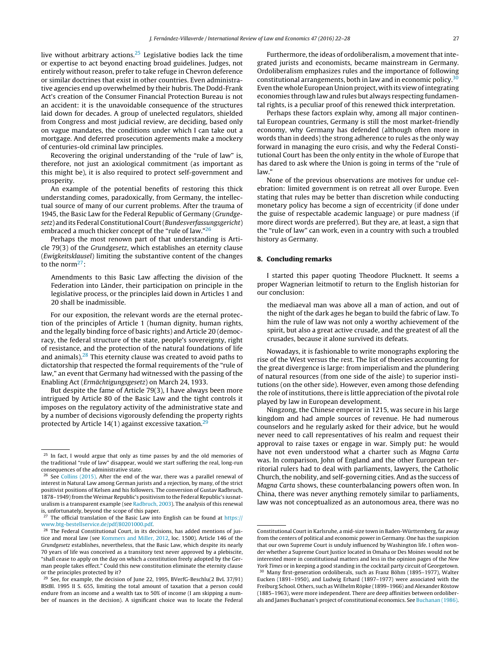live without arbitrary actions.<sup>25</sup> Legislative bodies lack the time or expertise to act beyond enacting broad guidelines. Judges, not entirely without reason, prefer to take refuge in Chevron deference or similar doctrines that exist in other countries. Even administrative agencies end up overwhelmed by their hubris. The Dodd-Frank Act's creation of the Consumer Financial Protection Bureau is not an accident: it is the unavoidable consequence of the structures laid down for decades. A group of unelected regulators, shielded from Congress and most judicial review, are deciding, based only on vague mandates, the conditions under which I can take out a mortgage. And deferred prosecution agreements make a mockery of centuries-old criminal law principles.

Recovering the original understanding of the "rule of law" is, therefore, not just an axiological commitment (as important as this might be), it is also required to protect self-government and prosperity.

An example of the potential benefits of restoring this thick understanding comes, paradoxically, from Germany, the intellectual source of many of our current problems. After the trauma of 1945, the Basic Law for the Federal Republic of Germany (Grundgesetz) and its Federal Constitutional Court(Bundesverfassungsgericht) embraced a much thicker concept of the "rule of law."<sup>26</sup>

Perhaps the most renown part of that understanding is Article 79(3) of the Grundgesetz, which establishes an eternity clause (Ewigkeitsklausel) limiting the substantive content of the changes to the norm $27$ :

Amendments to this Basic Law affecting the division of the Federation into Länder, their participation on principle in the legislative process, or the principles laid down in Articles 1 and 20 shall be inadmissible.

For our exposition, the relevant words are the eternal protection of the principles of Article 1 (human dignity, human rights, and the legally binding force of basic rights) and Article 20 (democracy, the federal structure of the state, people's sovereignty, right of resistance, and the protection of the natural foundations of life and animals).<sup>28</sup> This eternity clause was created to avoid paths to dictatorship that respected the formal requirements of the "rule of law," an event that Germany had witnessed with the passing of the Enabling Act (Ermächtigungsgesetz) on March 24, 1933.

But despite the fame of Article 79(3), I have always been more intrigued by Article 80 of the Basic Law and the tight controls it imposes on the regulatory activity of the administrative state and by a number of decisions vigorously defending the property rights protected by Article  $14(1)$  against excessive taxation.<sup>29</sup>

Furthermore, the ideas of ordoliberalism, a movement that integrated jurists and economists, became mainstream in Germany. Ordoliberalism emphasizes rules and the importance of following constitutional arrangements, both in law and in economic policy. $3<sup>0</sup>$ Even the whole European Union project, with its view ofintegrating economies through law and rules but always respecting fundamental rights, is a peculiar proof of this renewed thick interpretation.

Perhaps these factors explain why, among all major continental European countries, Germany is still the most market-friendly economy, why Germany has defended (although often more in words than in deeds) the strong adherence to rules as the only way forward in managing the euro crisis, and why the Federal Constitutional Court has been the only entity in the whole of Europe that has dared to ask where the Union is going in terms of the "rule of law."

None of the previous observations are motives for undue celebration: limited government is on retreat all over Europe. Even stating that rules may be better than discretion while conducting monetary policy has become a sign of eccentricity (if done under the guise of respectable academic language) or pure madness (if more direct words are preferred). But they are, at least, a sign that the "rule of law" can work, even in a country with such a troubled history as Germany.

# **8. Concluding remarks**

I started this paper quoting Theodore Plucknett. It seems a proper Wagnerian leitmotif to return to the English historian for our conclusion:

the mediaeval man was above all a man of action, and out of the night of the dark ages he began to build the fabric of law. To him the rule of law was not only a worthy achievement of the spirit, but also a great active crusade, and the greatest of all the crusades, because it alone survived its defeats.

Nowadays, it is fashionable to write monographs exploring the rise of the West versus the rest. The list of theories accounting for the great divergence is large: from imperialism and the plundering of natural resources (from one side of the aisle) to superior institutions (on the other side). However, even among those defending the role of institutions, there is little appreciation of the pivotal role played by law in European development.

Ningzong, the Chinese emperor in 1215, was secure in his large kingdom and had ample sources of revenue. He had numerous counselors and he regularly asked for their advice, but he would never need to call representatives of his realm and request their approval to raise taxes or engage in war. Simply put: he would have not even understood what a charter such as Magna Carta was. In comparison, John of England and the other European territorial rulers had to deal with parliaments, lawyers, the Catholic Church, the nobility, and self-governing cities. And as the success of Magna Carta shows, these counterbalancing powers often won. In China, there was never anything remotely similar to parliaments, law was not conceptualized as an autonomous area, there was no

<sup>&</sup>lt;sup>25</sup> In fact, I would argue that only as time passes by and the old memories of the traditional "rule of law" disappear, would we start suffering the real, long-run consequences of the administrative state.

<sup>&</sup>lt;sup>26</sup> See [Collins](#page-6-0) [\(2015\).](#page-6-0) After the end of the war, there was a parallel renewal of interest in Natural Law among German jurists and a rejection, by many, of the strict positivist positions of Kelsen and his followers. The conversion of Gustav Radbruch, 1878–1949)from theWeimar Republic's positivism to the Federal Republic's iusnaturalism is a transparent example (see [Radbruch,](#page-6-0) [2003\).](#page-6-0) The analysis of this renewal is, unfortunately, beyond the scope of this paper.

<sup>&</sup>lt;sup>27</sup> The official translation of the Basic Law into English can be found at  $\frac{h}{h}$ ttps:// [www.btg-bestellservice.de/pdf/80201000.pdf.](https://www.btg-bestellservice.de/pdf/80201000.pdf)

<sup>&</sup>lt;sup>28</sup> The Federal Constitutional Court, in its decisions, has added mentions of justice and moral law (see [Kommers](#page-6-0) [and](#page-6-0) [Miller,](#page-6-0) [2012,](#page-6-0) loc. 1500). Article 146 of the Grundgesetz establishes, nevertheless, that the Basic Law, which despite its nearly 70 years of life was conceived as a transitory text never approved by a plebiscite, "shall cease to apply on the day on which a constitution freely adopted by the German people takes effect." Could this new constitution eliminate the eternity clause or the principles protected by it?

<sup>&</sup>lt;sup>29</sup> See, for example, the decision of June 22, 1995, BVerfG-Beschlu(2 BvL 37/91) BStBl. 1995 II S. 655, limiting the total amount of taxation that a person could endure from an income and a wealth tax to 50% of income (I am skipping a number of nuances in the decision). A significant choice was to locate the Federal

Constitutional Court in Karlsruhe, a mid-size town in Baden-Württemberg, far away from the centers of political and economic power in Germany. One has the suspicion that our own Supreme Court is unduly influenced by Washington life. I often wonder whether a Supreme Court Justice located in Omaha or Des Moines would not be interested more in constitutional matters and less in the opinion pages of the New York Times or in keeping a good standing in the cocktail party circuit of Georgetown. <sup>30</sup> Many first-generation ordoliberals, such as Franz Böhm (1895–1977), Walter Eucken (1891–1950), and Ludwig Erhard (1897–1977) were associated with the Freiburg School. Others, such asWilhelm Röpke (1899–1966) and Alexander Röstow (1885–1963), were more independent. There are deep affinities between ordoliberals and James Buchanan's project of constitutional economics. See [Buchanan](#page-6-0) [\(1986\).](#page-6-0)